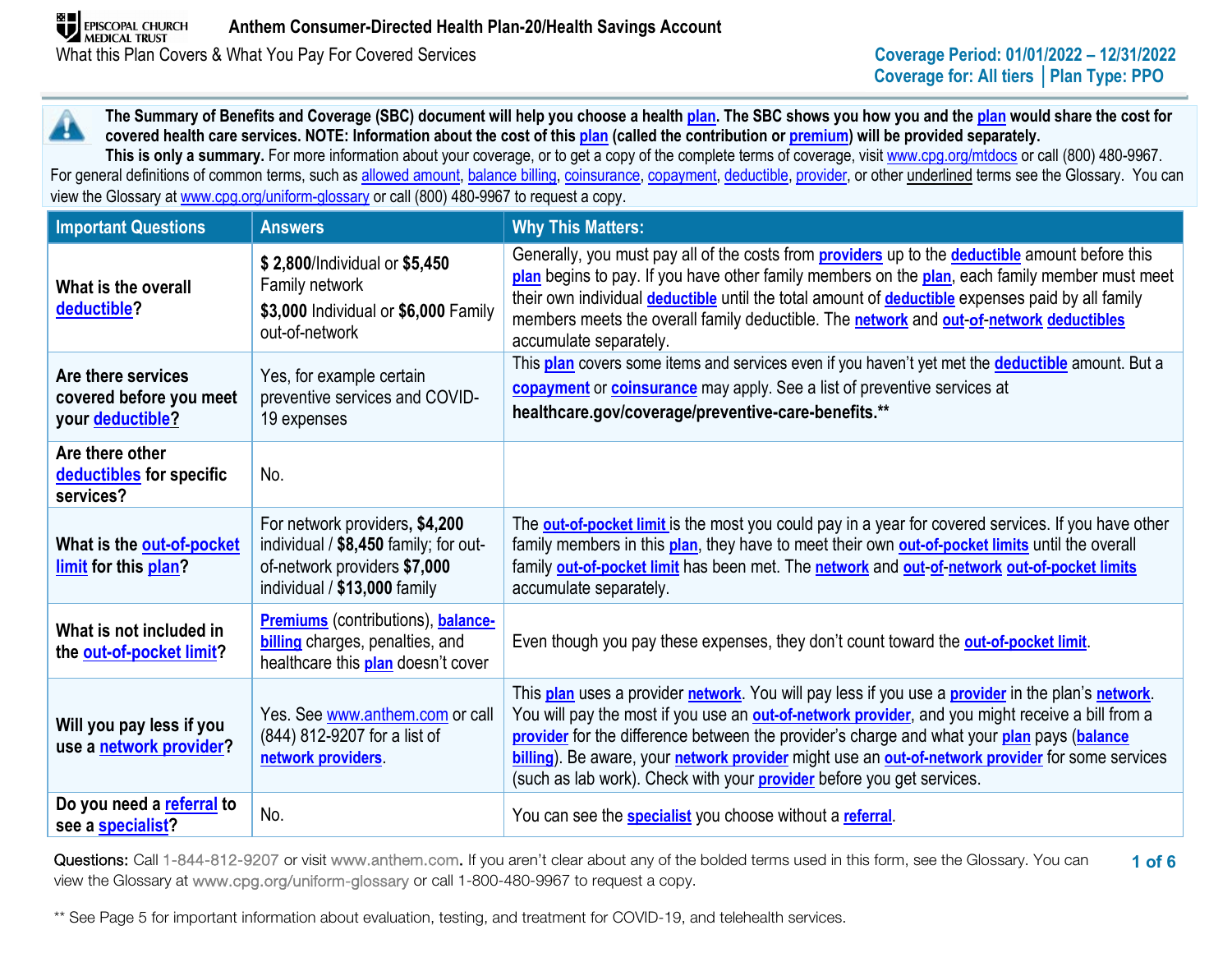**The Summary of Benefits and Coverage (SBC) document will help you choose a health [plan.](https://www.healthcare.gov/sbc-glossary/#plan) The SBC shows you how you and the [plan](https://www.healthcare.gov/sbc-glossary/#plan) would share the cost for**  44. **covered health care services. NOTE: Information about the cost of thi[s plan](https://www.healthcare.gov/sbc-glossary/#plan) (called the contribution or [premium\)](https://www.healthcare.gov/sbc-glossary/#premium) will be provided separately.** This is only a summary. For more information about your coverage, or to get a copy of the complete terms of coverage, visit [www.cpg.org/mtdocs](http://www.cpg.org/mtdocs) or call (800) 480-9967.

For general definitions of common terms, such as [allowed amount,](https://www.healthcare.gov/sbc-glossary/#allowed-amount) [balance billing,](https://www.healthcare.gov/sbc-glossary/#balance-billing) [coinsurance,](https://www.healthcare.gov/sbc-glossary/#coinsurance) [copayment,](https://www.healthcare.gov/sbc-glossary/#copayment) [deductible,](https://www.healthcare.gov/sbc-glossary/#deductible) [provider,](https://www.healthcare.gov/sbc-glossary/#provider) or other underlined terms see the Glossary. You can view the Glossary at www.cpg.org/uniform-glossary or call (800) 480-9967 to request a copy.

| <b>Important Questions</b>                                        | <b>Answers</b>                                                                                                                          | <b>Why This Matters:</b>                                                                                                                                                                                                                                                                                                                                                                                                                                                                |
|-------------------------------------------------------------------|-----------------------------------------------------------------------------------------------------------------------------------------|-----------------------------------------------------------------------------------------------------------------------------------------------------------------------------------------------------------------------------------------------------------------------------------------------------------------------------------------------------------------------------------------------------------------------------------------------------------------------------------------|
| What is the overall<br>deductible?                                | \$2,800/Individual or \$5,450<br>Family network<br>\$3,000 Individual or \$6,000 Family<br>out-of-network                               | Generally, you must pay all of the costs from <b>providers</b> up to the <b>deductible</b> amount before this<br>plan begins to pay. If you have other family members on the plan, each family member must meet<br>their own individual <i>deductible</i> until the total amount of <i>deductible</i> expenses paid by all family<br>members meets the overall family deductible. The network and out-of-network deductibles<br>accumulate separately.                                  |
| Are there services<br>covered before you meet<br>your deductible? | Yes, for example certain<br>preventive services and COVID-<br>19 expenses                                                               | This plan covers some items and services even if you haven't yet met the deductible amount. But a<br>copayment or coinsurance may apply. See a list of preventive services at<br>healthcare.gov/coverage/preventive-care-benefits.**                                                                                                                                                                                                                                                    |
| Are there other<br>deductibles for specific<br>services?          | No.                                                                                                                                     |                                                                                                                                                                                                                                                                                                                                                                                                                                                                                         |
| What is the out-of-pocket<br>limit for this plan?                 | For network providers, \$4,200<br>individual / \$8,450 family; for out-<br>of-network providers \$7,000<br>individual / \$13,000 family | The <b>out-of-pocket limit</b> is the most you could pay in a year for covered services. If you have other<br>family members in this plan, they have to meet their own out-of-pocket limits until the overall<br>family out-of-pocket limit has been met. The network and out-of-network out-of-pocket limits<br>accumulate separately.                                                                                                                                                 |
| What is not included in<br>the out-of-pocket limit?               | <b>Premiums</b> (contributions), balance-<br><b>billing</b> charges, penalties, and<br>healthcare this <b>plan</b> doesn't cover        | Even though you pay these expenses, they don't count toward the out-of-pocket limit.                                                                                                                                                                                                                                                                                                                                                                                                    |
| Will you pay less if you<br>use a network provider?               | Yes. See www.anthem.com or call<br>(844) 812-9207 for a list of<br>network providers.                                                   | This plan uses a provider network. You will pay less if you use a provider in the plan's network.<br>You will pay the most if you use an out-of-network provider, and you might receive a bill from a<br>provider for the difference between the provider's charge and what your plan pays (balance<br>billing). Be aware, your network provider might use an out-of-network provider for some services<br>(such as lab work). Check with your <b>provider</b> before you get services. |
| Do you need a referral to<br>see a specialist?                    | No.                                                                                                                                     | You can see the <b>specialist</b> you choose without a referral.                                                                                                                                                                                                                                                                                                                                                                                                                        |

**1 of 6** Questions: Call 1-844-812-9207 or visit www.anthem.com. If you aren't clear about any of the bolded terms used in this form, see the Glossary. You can view the Glossary at www.cpg.org/uniform-glossary or call 1-800-480-9967 to request a copy.

\*\* See Page 5 for important information about evaluation, testing, and treatment for COVID-19, and telehealth services.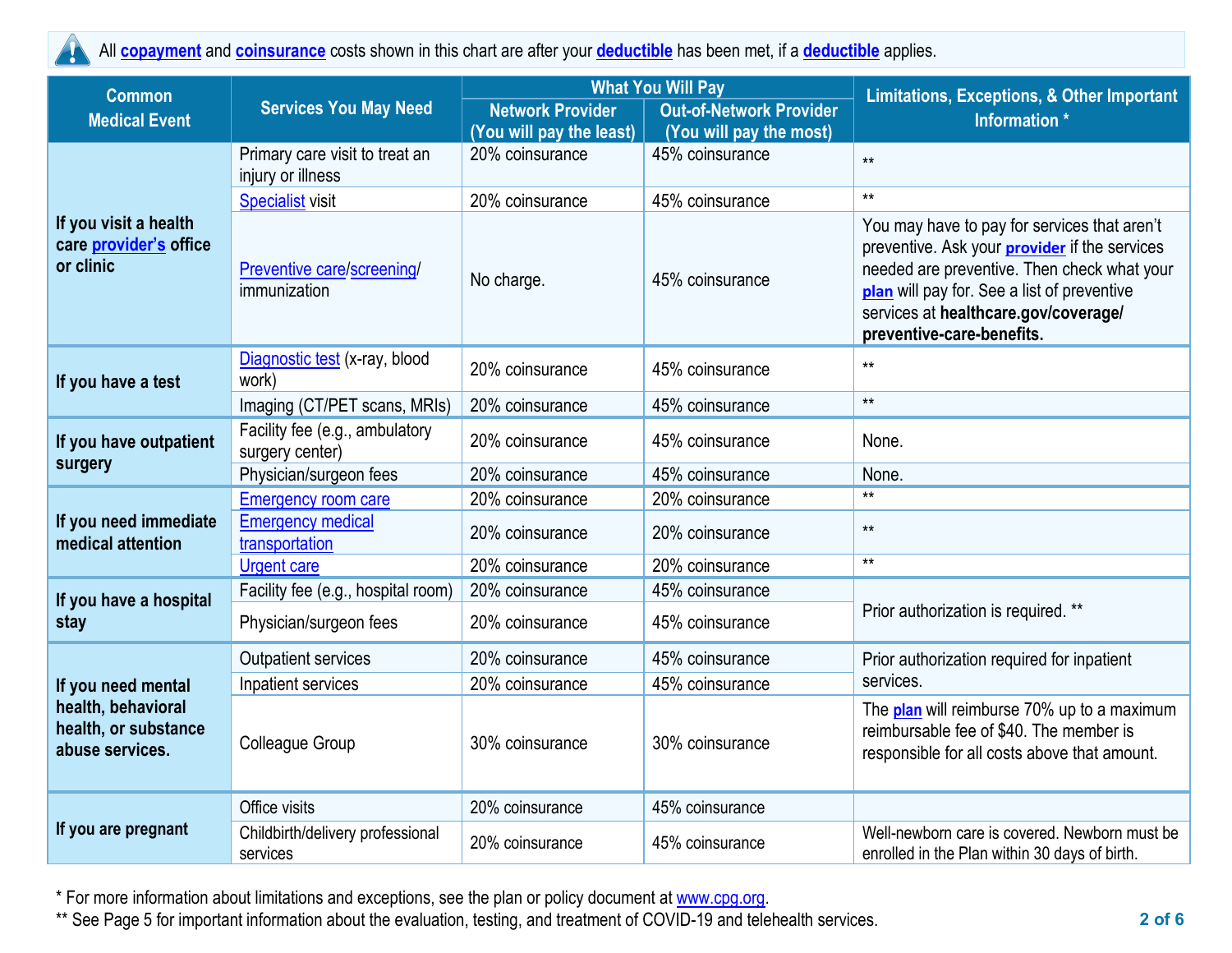All **[copayment](https://www.healthcare.gov/sbc-glossary/#copayment)** and **[coinsurance](https://www.healthcare.gov/sbc-glossary/#coinsurance)** costs shown in this chart are after your **[deductible](https://www.healthcare.gov/sbc-glossary/#deductible)** has been met, if a **[deductible](https://www.healthcare.gov/sbc-glossary/#deductible)** applies.

| <b>Common</b>                                                 | <b>Services You May Need</b>                        |                          | <b>What You Will Pay</b>       | <b>Limitations, Exceptions, &amp; Other Important</b><br>Information *                                                                                                                                                                                                  |  |
|---------------------------------------------------------------|-----------------------------------------------------|--------------------------|--------------------------------|-------------------------------------------------------------------------------------------------------------------------------------------------------------------------------------------------------------------------------------------------------------------------|--|
| <b>Medical Event</b>                                          |                                                     | <b>Network Provider</b>  | <b>Out-of-Network Provider</b> |                                                                                                                                                                                                                                                                         |  |
|                                                               |                                                     | (You will pay the least) | (You will pay the most)        |                                                                                                                                                                                                                                                                         |  |
|                                                               | Primary care visit to treat an<br>injury or illness | 20% coinsurance          | 45% coinsurance                | $**$                                                                                                                                                                                                                                                                    |  |
|                                                               | <b>Specialist visit</b>                             | 20% coinsurance          | 45% coinsurance                | $**$                                                                                                                                                                                                                                                                    |  |
| If you visit a health<br>care provider's office<br>or clinic  | Preventive care/screening/<br>immunization          | No charge.               | 45% coinsurance                | You may have to pay for services that aren't<br>preventive. Ask your <b>provider</b> if the services<br>needed are preventive. Then check what your<br>plan will pay for. See a list of preventive<br>services at healthcare.gov/coverage/<br>preventive-care-benefits. |  |
| If you have a test                                            | Diagnostic test (x-ray, blood<br>work)              | 20% coinsurance          | 45% coinsurance                | $***$                                                                                                                                                                                                                                                                   |  |
|                                                               | Imaging (CT/PET scans, MRIs)                        | 20% coinsurance          | 45% coinsurance                | $**$                                                                                                                                                                                                                                                                    |  |
| If you have outpatient                                        | Facility fee (e.g., ambulatory<br>surgery center)   | 20% coinsurance          | 45% coinsurance                | None.                                                                                                                                                                                                                                                                   |  |
| surgery                                                       | Physician/surgeon fees                              | 20% coinsurance          | 45% coinsurance                | None.                                                                                                                                                                                                                                                                   |  |
|                                                               | <b>Emergency room care</b>                          | 20% coinsurance          | 20% coinsurance                | $**$                                                                                                                                                                                                                                                                    |  |
| If you need immediate<br>medical attention                    | <b>Emergency medical</b><br>transportation          | 20% coinsurance          | 20% coinsurance                | $**$                                                                                                                                                                                                                                                                    |  |
|                                                               | <b>Urgent care</b>                                  | 20% coinsurance          | 20% coinsurance                | $**$                                                                                                                                                                                                                                                                    |  |
| If you have a hospital                                        | Facility fee (e.g., hospital room)                  | 20% coinsurance          | 45% coinsurance                |                                                                                                                                                                                                                                                                         |  |
| stay                                                          | Physician/surgeon fees                              | 20% coinsurance          | 45% coinsurance                | Prior authorization is required. **                                                                                                                                                                                                                                     |  |
|                                                               | <b>Outpatient services</b>                          | 20% coinsurance          | 45% coinsurance                | Prior authorization required for inpatient                                                                                                                                                                                                                              |  |
| If you need mental                                            | Inpatient services                                  | 20% coinsurance          | 45% coinsurance                | services.                                                                                                                                                                                                                                                               |  |
| health, behavioral<br>health, or substance<br>abuse services. | <b>Colleague Group</b>                              | 30% coinsurance          | 30% coinsurance                | The plan will reimburse 70% up to a maximum<br>reimbursable fee of \$40. The member is<br>responsible for all costs above that amount.                                                                                                                                  |  |
|                                                               | Office visits                                       | 20% coinsurance          | 45% coinsurance                |                                                                                                                                                                                                                                                                         |  |
| If you are pregnant                                           | Childbirth/delivery professional<br>services        | 20% coinsurance          | 45% coinsurance                | Well-newborn care is covered. Newborn must be<br>enrolled in the Plan within 30 days of birth.                                                                                                                                                                          |  |

\* For more information about limitations and exceptions, see the plan or policy document at [www.cpg.org.](http://www.cpg.org/)

\*\* See Page 5 for important information about the evaluation, testing, and treatment of COVID-19 and telehealth services.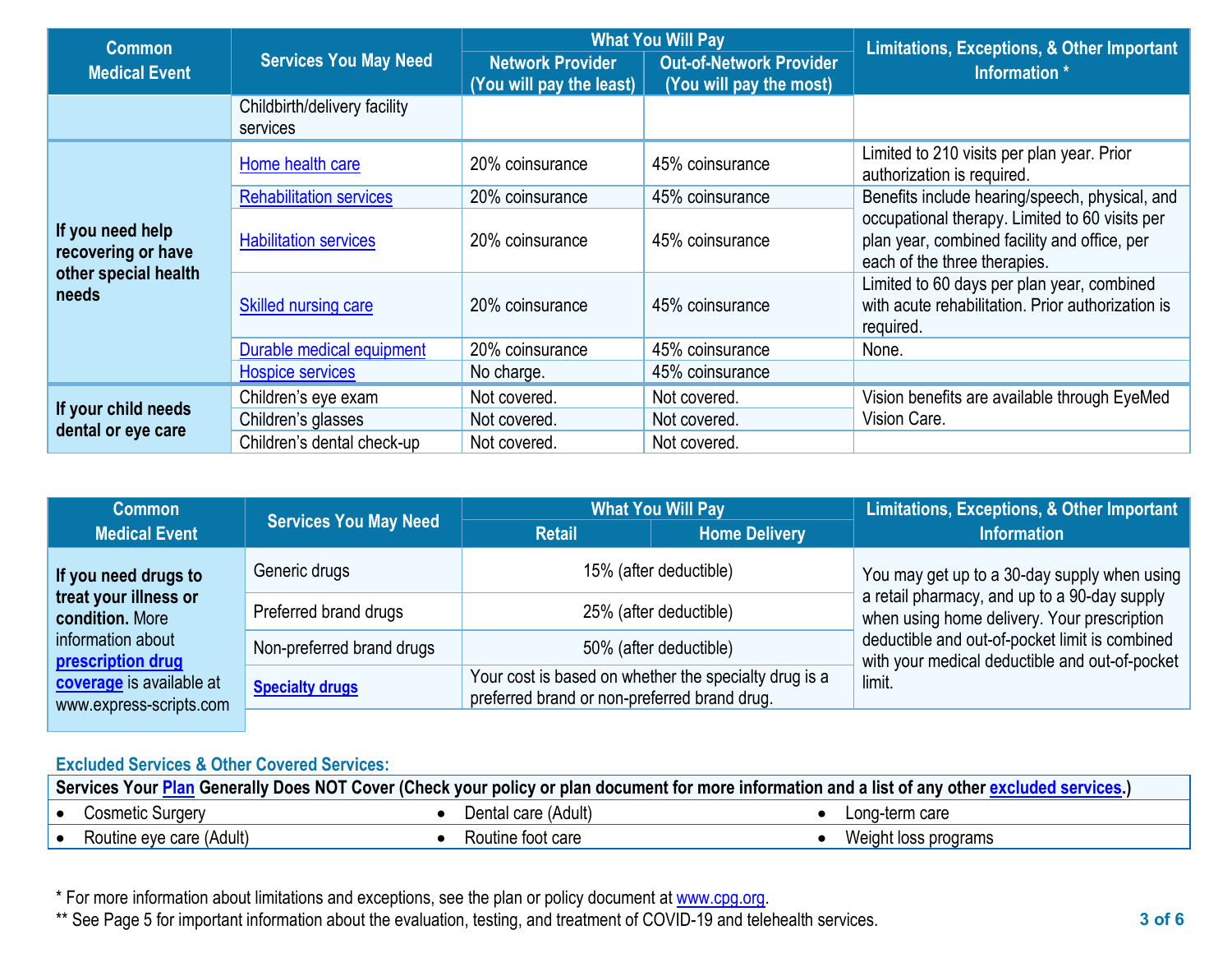| <b>Common</b>                                                           |                                          |                                                     | <b>What You Will Pay</b>                                  | <b>Limitations, Exceptions, &amp; Other Important</b>                                                                          |  |
|-------------------------------------------------------------------------|------------------------------------------|-----------------------------------------------------|-----------------------------------------------------------|--------------------------------------------------------------------------------------------------------------------------------|--|
| <b>Medical Event</b>                                                    | <b>Services You May Need</b>             | <b>Network Provider</b><br>(You will pay the least) | <b>Out-of-Network Provider</b><br>(You will pay the most) | Information *                                                                                                                  |  |
|                                                                         | Childbirth/delivery facility<br>services |                                                     |                                                           |                                                                                                                                |  |
|                                                                         | Home health care                         | 20% coinsurance                                     | 45% coinsurance                                           | Limited to 210 visits per plan year. Prior<br>authorization is required.                                                       |  |
|                                                                         | <b>Rehabilitation services</b>           | 20% coinsurance                                     | 45% coinsurance                                           | Benefits include hearing/speech, physical, and                                                                                 |  |
| If you need help<br>recovering or have<br>other special health<br>needs | <b>Habilitation services</b>             | 20% coinsurance                                     | 45% coinsurance                                           | occupational therapy. Limited to 60 visits per<br>plan year, combined facility and office, per<br>each of the three therapies. |  |
|                                                                         | <b>Skilled nursing care</b>              | 20% coinsurance                                     | 45% coinsurance                                           | Limited to 60 days per plan year, combined<br>with acute rehabilitation. Prior authorization is<br>required.                   |  |
|                                                                         | Durable medical equipment                | 20% coinsurance                                     | 45% coinsurance                                           | None.                                                                                                                          |  |
|                                                                         | Hospice services                         | No charge.                                          | 45% coinsurance                                           |                                                                                                                                |  |
|                                                                         | Children's eye exam                      | Not covered.                                        | Not covered.                                              | Vision benefits are available through EyeMed                                                                                   |  |
| If your child needs<br>dental or eye care                               | Children's glasses                       | Not covered.                                        | Not covered.                                              | Vision Care.                                                                                                                   |  |
|                                                                         | Children's dental check-up               | Not covered.                                        | Not covered.                                              |                                                                                                                                |  |

| <b>Common</b>                                                                      | <b>Services You May Need</b> | <b>What You Will Pay</b>                                                                              |                      | Limitations, Exceptions, & Other Important                                                                                                                                                      |  |
|------------------------------------------------------------------------------------|------------------------------|-------------------------------------------------------------------------------------------------------|----------------------|-------------------------------------------------------------------------------------------------------------------------------------------------------------------------------------------------|--|
| <b>Medical Event</b>                                                               |                              | <b>Retail</b>                                                                                         | <b>Home Delivery</b> | Information                                                                                                                                                                                     |  |
| If you need drugs to                                                               | Generic drugs                | 15% (after deductible)                                                                                |                      | You may get up to a 30-day supply when using                                                                                                                                                    |  |
| treat your illness or<br>condition. More<br>information about<br>prescription drug | Preferred brand drugs        | 25% (after deductible)                                                                                |                      | a retail pharmacy, and up to a 90-day supply<br>when using home delivery. Your prescription<br>deductible and out-of-pocket limit is combined<br>with your medical deductible and out-of-pocket |  |
|                                                                                    | Non-preferred brand drugs    | 50% (after deductible)                                                                                |                      |                                                                                                                                                                                                 |  |
| coverage is available at<br>www.express-scripts.com                                | <b>Specialty drugs</b>       | Your cost is based on whether the specialty drug is a<br>preferred brand or non-preferred brand drug. |                      | limit.                                                                                                                                                                                          |  |

# **Excluded Services & Other Covered Services:**

|                          | ∣ Services Your <mark>Plan</mark> Generally Does NOT Cover (Check your policy or plan document for more information and a list of any other <u>excluded services</u> .) |                      |
|--------------------------|-------------------------------------------------------------------------------------------------------------------------------------------------------------------------|----------------------|
| Cosmetic Surgery         | Dental care (Adult)                                                                                                                                                     | Long-term care       |
| Routine eye care (Adult) | Routine foot care                                                                                                                                                       | Weight loss programs |

\* For more information about limitations and exceptions, see the plan or policy document at [www.cpg.org.](http://www.cpg.org/)

\*\* See Page 5 for important information about the evaluation, testing, and treatment of COVID-19 and telehealth services.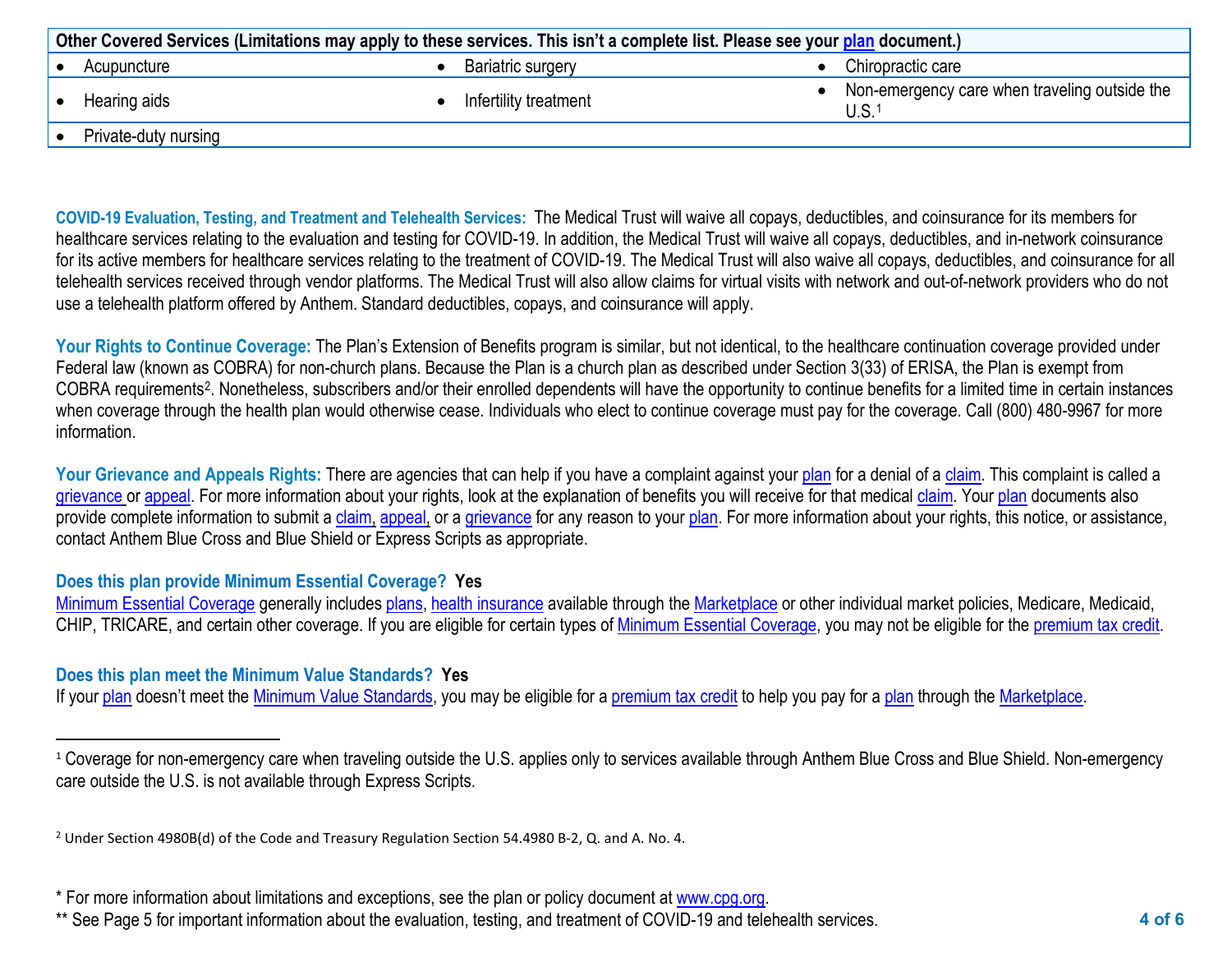<span id="page-3-1"></span><span id="page-3-0"></span>

| Other Covered Services (Limitations may apply to these services. This isn't a complete list. Please see your plan document.) |  |                       |  |                                                                    |
|------------------------------------------------------------------------------------------------------------------------------|--|-----------------------|--|--------------------------------------------------------------------|
| Acupuncture                                                                                                                  |  | Bariatric surgery     |  | Chiropractic care                                                  |
| Hearing aids                                                                                                                 |  | Infertility treatment |  | Non-emergency care when traveling outside the<br>U.S. <sup>1</sup> |
| Private-duty nursing                                                                                                         |  |                       |  |                                                                    |

**COVID-19 Evaluation, Testing, and Treatment and Telehealth Services:** The Medical Trust will waive all copays, deductibles, and coinsurance for its members for healthcare services relating to the evaluation and testing for COVID-19. In addition, the Medical Trust will waive all copays, deductibles, and in-network coinsurance for its active members for healthcare services relating to the treatment of COVID-19. The Medical Trust will also waive all copays, deductibles, and coinsurance for all telehealth services received through vendor platforms. The Medical Trust will also allow claims for virtual visits with network and out-of-network providers who do not use a telehealth platform offered by Anthem. Standard deductibles, copays, and coinsurance will apply.

**Your Rights to Continue Coverage:** The Plan's Extension of Benefits program is similar, but not identical, to the healthcare continuation coverage provided under Federal law (known as COBRA) for non-church plans. Because the Plan is a church plan as described under Section 3(33) of ERISA, the Plan is exempt from COBRA requirements[2](#page-3-1). Nonetheless, subscribers and/or their enrolled dependents will have the opportunity to continue benefits for a limited time in certain instances when coverage through the health plan would otherwise cease. Individuals who elect to continue coverage must pay for the coverage. Call (800) 480-9967 for more information.

Your Grievance and Appeals Rights: There are agencies that can help if you have a complaint against your plan for a denial of a claim. This complaint is called a grievance or appeal. For more information about your rights, look at the explanation of benefits you will receive for that medical claim. Your plan documents also provide complete information to submit a claim, appeal, or a grievance for any reason to your plan. For more information about your rights, this notice, or assistance, contact Anthem Blue Cross and Blue Shield or Express Scripts as appropriate.

## **Does this plan provide Minimum Essential Coverage? Yes**

Minimum Essential Coverage generally includes plans, health insurance available through the Marketplace or other individual market policies, Medicare, Medicaid, CHIP, TRICARE, and certain other coverage. If you are eligible for certain types of Minimum Essential Coverage, you may not be eligible for the premium tax credit.

## **Does this plan meet the Minimum Value Standards? Yes**

If your plan doesn't meet the Minimum Value Standards, you may be eligible for a premium tax credit to help you pay for a plan through the Marketplace.

<sup>&</sup>lt;sup>1</sup> Coverage for non-emergency care when traveling outside the U.S. applies only to services available through Anthem Blue Cross and Blue Shield. Non-emergency care outside the U.S. is not available through Express Scripts.

<sup>&</sup>lt;sup>2</sup> Under Section 4980B(d) of the Code and Treasury Regulation Section 54.4980 B-2, Q. and A. No. 4.

<sup>\*</sup> For more information about limitations and exceptions, see the plan or policy document at www.cpg.org.

<sup>\*\*</sup> See Page 5 for important information about the evaluation, testing, and treatment of COVID-19 and telehealth services.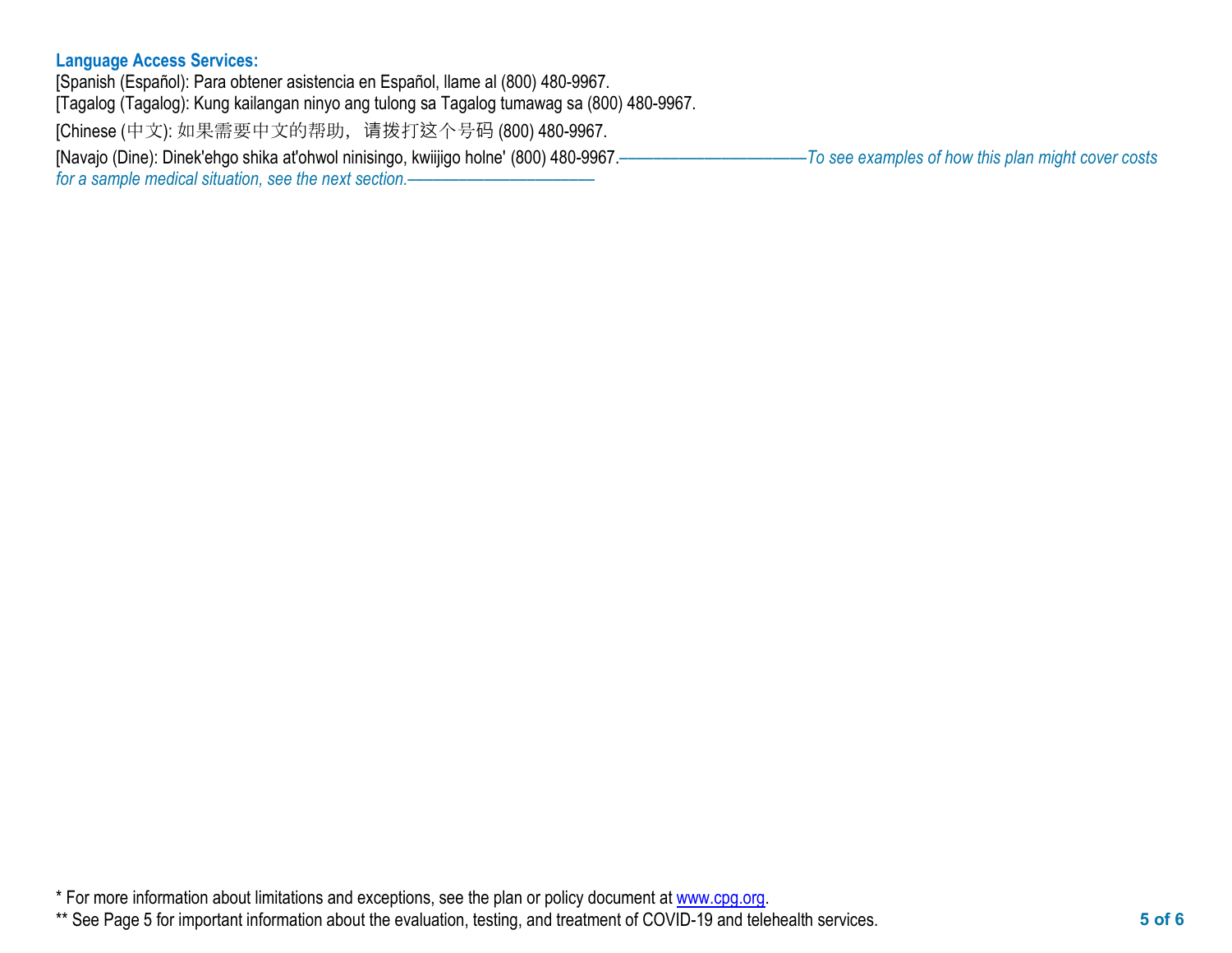# **Language Access Services:**

[Spanish (Español): Para obtener asistencia en Español, llame al (800) 480-9967. [Tagalog (Tagalog): Kung kailangan ninyo ang tulong sa Tagalog tumawag sa (800) 480-9967. [Chinese (中文): 如果需要中文的帮助,请拨打这个号码 (800) 480-9967. [Navajo (Dine): Dinek'ehgo shika at'ohwol ninisingo, kwiijigo holne' (800) 480-9967.––––––––––––––––––––––*To see examples of how this plan might cover costs for a sample medical situation, see the next section.–* 

\* For more information about limitations and exceptions, see the plan or policy document at www.cpg.org.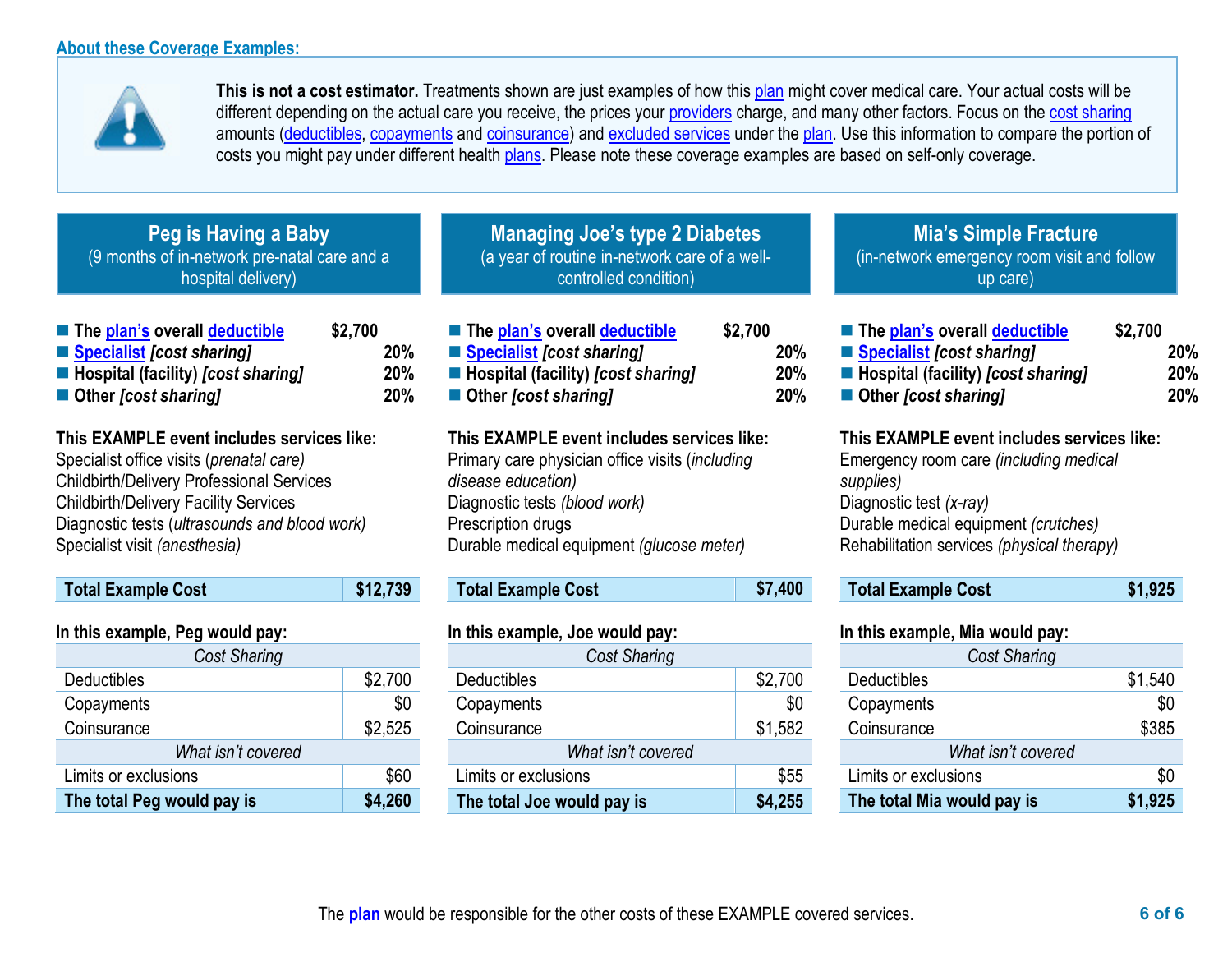**The total Peg would pay is \$4,260**



This is not a cost estimator. Treatments shown are just examples of how this plan might cover medical care. Your actual costs will be different depending on the actual care you receive, the prices your providers charge, and many other factors. Focus on the cost sharing amounts (deductibles, copayments and coinsurance) and excluded services under the plan. Use this information to compare the portion of costs you might pay under different health plans. Please note these coverage examples are based on self-only coverage.

| Peg is Having a Baby<br>(9 months of in-network pre-natal care and a<br>hospital delivery)                                                                                                                                                                                                                |                              | <b>Managing Joe's type 2 Diabetes</b><br>(a year of routine in-network care of a well-<br>controlled condition)                                                                                                                                      |                              | <b>Mia's Simple Fracture</b><br>(in-network emergency room visit and follow<br>up care)                                                                                                                                                         |                              |
|-----------------------------------------------------------------------------------------------------------------------------------------------------------------------------------------------------------------------------------------------------------------------------------------------------------|------------------------------|------------------------------------------------------------------------------------------------------------------------------------------------------------------------------------------------------------------------------------------------------|------------------------------|-------------------------------------------------------------------------------------------------------------------------------------------------------------------------------------------------------------------------------------------------|------------------------------|
| The plan's overall deductible<br>Specialist [cost sharing]<br>■ Hospital (facility) [cost sharing]<br>■ Other [cost sharing]                                                                                                                                                                              | \$2,700<br>20%<br>20%<br>20% | The plan's overall deductible<br>■ Specialist [cost sharing]<br>■ Hospital (facility) [cost sharing]<br>■ Other <i>[cost sharing]</i>                                                                                                                | \$2,700<br>20%<br>20%<br>20% | The plan's overall deductible<br>Specialist [cost sharing]<br>■ Hospital (facility) [cost sharing]<br>■ Other [cost sharing]                                                                                                                    | \$2,700<br>20%<br>20%<br>20% |
| This EXAMPLE event includes services like:<br>Specialist office visits (prenatal care)<br><b>Childbirth/Delivery Professional Services</b><br><b>Childbirth/Delivery Facility Services</b><br>Diagnostic tests (ultrasounds and blood work)<br>Specialist visit (anesthesia)<br><b>Total Example Cost</b> | \$12,739                     | This EXAMPLE event includes services like:<br>Primary care physician office visits (including<br>disease education)<br>Diagnostic tests (blood work)<br>Prescription drugs<br>Durable medical equipment (glucose meter)<br><b>Total Example Cost</b> | \$7,400                      | This EXAMPLE event includes services like:<br>Emergency room care (including medical<br>supplies)<br>Diagnostic test (x-ray)<br>Durable medical equipment (crutches)<br>Rehabilitation services (physical therapy)<br><b>Total Example Cost</b> | \$1,925                      |
|                                                                                                                                                                                                                                                                                                           |                              |                                                                                                                                                                                                                                                      |                              |                                                                                                                                                                                                                                                 |                              |
| In this example, Peg would pay:                                                                                                                                                                                                                                                                           |                              | In this example, Joe would pay:                                                                                                                                                                                                                      |                              | In this example, Mia would pay:                                                                                                                                                                                                                 |                              |
| <b>Cost Sharing</b>                                                                                                                                                                                                                                                                                       |                              | Cost Sharing                                                                                                                                                                                                                                         |                              | Cost Sharing                                                                                                                                                                                                                                    |                              |
| <b>Deductibles</b>                                                                                                                                                                                                                                                                                        | \$2,700                      | <b>Deductibles</b>                                                                                                                                                                                                                                   | \$2,700                      | <b>Deductibles</b>                                                                                                                                                                                                                              | \$1,540                      |
| Copayments                                                                                                                                                                                                                                                                                                | \$0                          | Copayments                                                                                                                                                                                                                                           | \$0                          | Copayments                                                                                                                                                                                                                                      | \$0                          |
| Coinsurance                                                                                                                                                                                                                                                                                               | \$2,525                      | Coinsurance                                                                                                                                                                                                                                          | \$1,582                      | Coinsurance                                                                                                                                                                                                                                     | \$385                        |
| What isn't covered                                                                                                                                                                                                                                                                                        |                              | What isn't covered                                                                                                                                                                                                                                   |                              | What isn't covered                                                                                                                                                                                                                              |                              |
| Limits or exclusions                                                                                                                                                                                                                                                                                      | \$60                         | Limits or exclusions                                                                                                                                                                                                                                 | \$55                         | Limits or exclusions                                                                                                                                                                                                                            | \$0                          |

**The total Joe would pay is \$4,255**

**The total Mia would pay is \$1,925**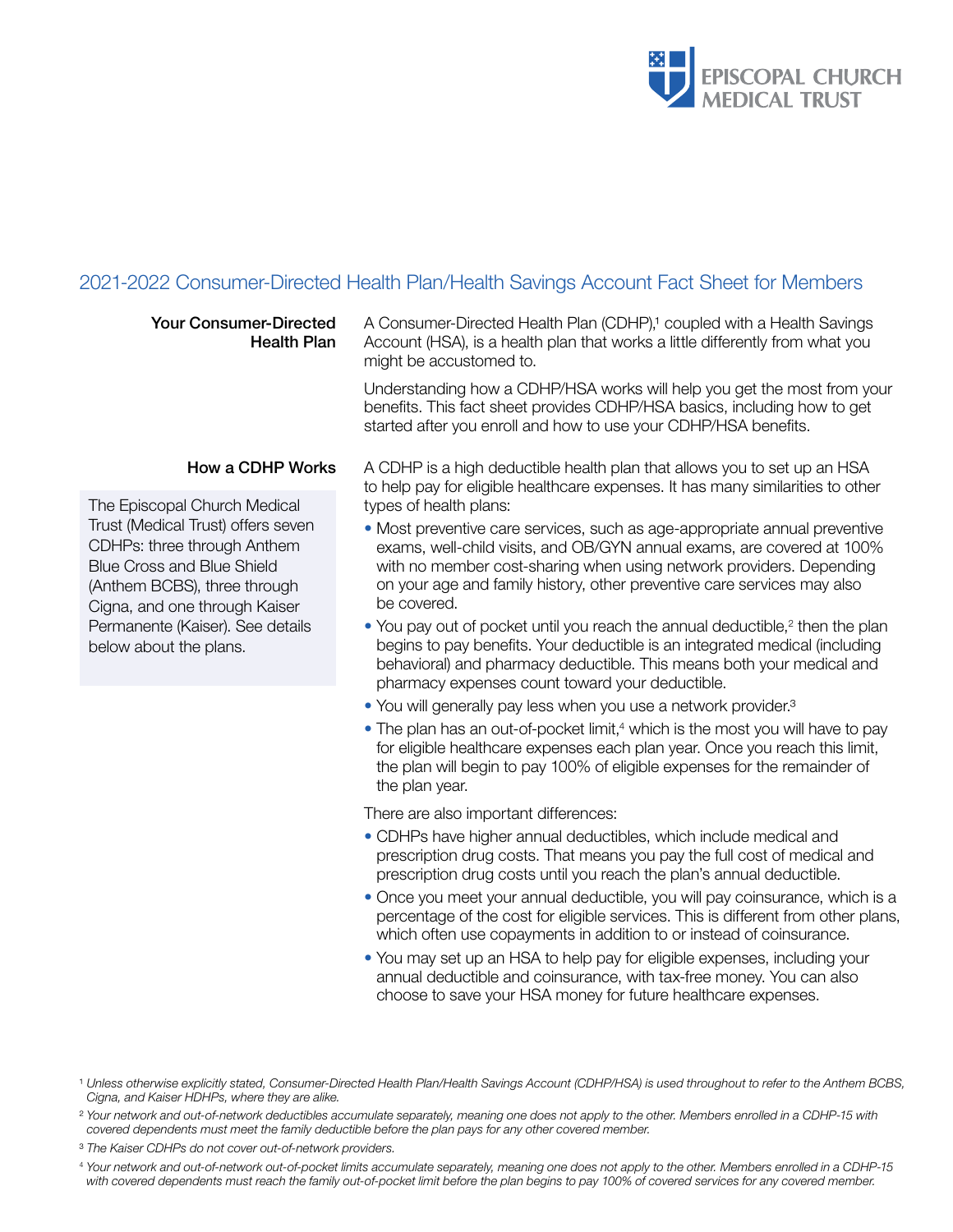

# 2021-2022 Consumer-Directed Health Plan/Health Savings Account Fact Sheet for Members

| <b>Your Consumer-Directed</b><br><b>Health Plan</b>                                                                                                                     | A Consumer-Directed Health Plan (CDHP), <sup>1</sup> coupled with a Health Savings<br>Account (HSA), is a health plan that works a little differently from what you<br>might be accustomed to.                                                                                                                        |
|-------------------------------------------------------------------------------------------------------------------------------------------------------------------------|-----------------------------------------------------------------------------------------------------------------------------------------------------------------------------------------------------------------------------------------------------------------------------------------------------------------------|
|                                                                                                                                                                         | Understanding how a CDHP/HSA works will help you get the most from your<br>benefits. This fact sheet provides CDHP/HSA basics, including how to get<br>started after you enroll and how to use your CDHP/HSA benefits.                                                                                                |
| How a CDHP Works                                                                                                                                                        | A CDHP is a high deductible health plan that allows you to set up an HSA<br>to help pay for eligible healthcare expenses. It has many similarities to other                                                                                                                                                           |
| The Episcopal Church Medical                                                                                                                                            | types of health plans:                                                                                                                                                                                                                                                                                                |
| Trust (Medical Trust) offers seven<br>CDHPs: three through Anthem<br><b>Blue Cross and Blue Shield</b><br>(Anthem BCBS), three through<br>Cigna, and one through Kaiser | • Most preventive care services, such as age-appropriate annual preventive<br>exams, well-child visits, and OB/GYN annual exams, are covered at 100%<br>with no member cost-sharing when using network providers. Depending<br>on your age and family history, other preventive care services may also<br>be covered. |
| Permanente (Kaiser). See details<br>below about the plans.                                                                                                              | • You pay out of pocket until you reach the annual deductible, <sup>2</sup> then the plan<br>begins to pay benefits. Your deductible is an integrated medical (including<br>behavioral) and pharmacy deductible. This means both your medical and<br>pharmacy expenses count toward your deductible.                  |
|                                                                                                                                                                         | • You will generally pay less when you use a network provider. <sup>3</sup>                                                                                                                                                                                                                                           |
|                                                                                                                                                                         | • The plan has an out-of-pocket limit, <sup>4</sup> which is the most you will have to pay<br>for eligible healthcare expenses each plan year. Once you reach this limit,<br>the plan will begin to pay 100% of eligible expenses for the remainder of<br>the plan year.                                              |
|                                                                                                                                                                         | There are also important differences:                                                                                                                                                                                                                                                                                 |
|                                                                                                                                                                         | • CDHPs have higher annual deductibles, which include medical and<br>prescription drug costs. That means you pay the full cost of medical and<br>prescription drug costs until you reach the plan's annual deductible.                                                                                                |

- Once you meet your annual deductible, you will pay coinsurance, which is a percentage of the cost for eligible services. This is different from other plans, which often use copayments in addition to or instead of coinsurance.
- You may set up an HSA to help pay for eligible expenses, including your annual deductible and coinsurance, with tax-free money. You can also choose to save your HSA money for future healthcare expenses.

<sup>4</sup> *Your network and out-of-network out-of-pocket limits accumulate separately, meaning one does not apply to the other. Members enrolled in a CDHP-15 with covered dependents must reach the family out-of-pocket limit before the plan begins to pay 100% of covered services for any covered member.*

<sup>1</sup> *Unless otherwise explicitly stated, Consumer-Directed Health Plan/Health Savings Account (CDHP/HSA) is used throughout to refer to the Anthem BCBS, Cigna, and Kaiser HDHPs, where they are alike.* 

<sup>2</sup> *Your network and out-of-network deductibles accumulate separately, meaning one does not apply to the other. Members enrolled in a CDHP-15 with covered dependents must meet the family deductible before the plan pays for any other covered member.*

<sup>3</sup> *The Kaiser CDHPs do not cover out-of-network providers.*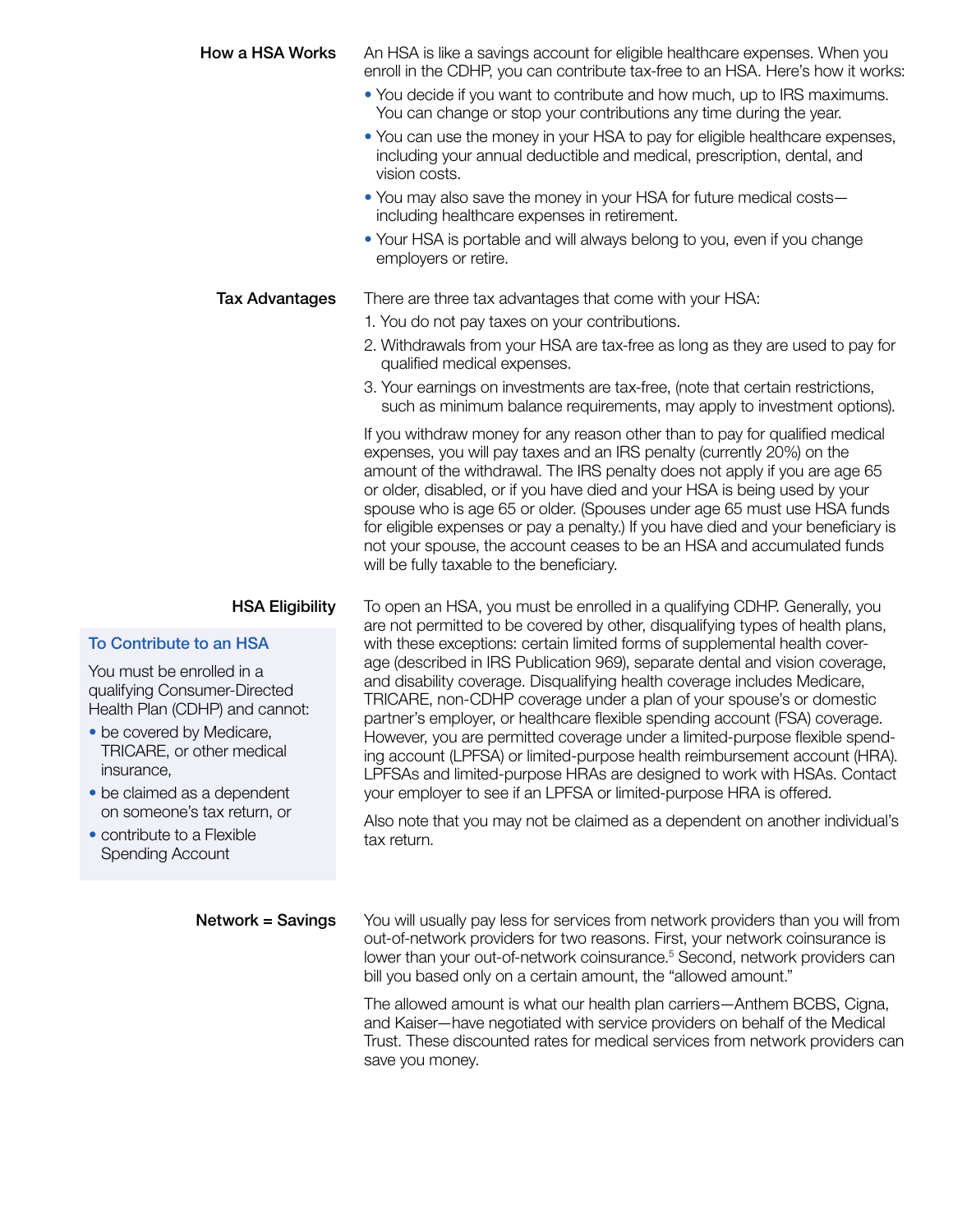# **How a HSA Works** An HSA is like a savings account for eligible healthcare expenses. When you enroll in the CDHP, you can contribute tax-free to an HSA. Here's how it works:

- You decide if you want to contribute and how much, up to IRS maximums. You can change or stop your contributions any time during the year.
- You can use the money in your HSA to pay for eligible healthcare expenses, including your annual deductible and medical, prescription, dental, and vision costs.
- You may also save the money in your HSA for future medical costs including healthcare expenses in retirement.
- Your HSA is portable and will always belong to you, even if you change employers or retire.

## **Tax Advantages** There are three tax advantages that come with your HSA:

- 1. You do not pay taxes on your contributions.
- 2. Withdrawals from your HSA are tax-free as long as they are used to pay for qualified medical expenses.
- 3. Your earnings on investments are tax-free, (note that certain restrictions, such as minimum balance requirements, may apply to investment options).

If you withdraw money for any reason other than to pay for qualified medical expenses, you will pay taxes and an IRS penalty (currently 20%) on the amount of the withdrawal. The IRS penalty does not apply if you are age 65 or older, disabled, or if you have died and your HSA is being used by your spouse who is age 65 or older. (Spouses under age 65 must use HSA funds for eligible expenses or pay a penalty.) If you have died and your beneficiary is not your spouse, the account ceases to be an HSA and accumulated funds will be fully taxable to the beneficiary.

## To Contribute to an HSA

You must be enrolled in a qualifying Consumer-Directed Health Plan (CDHP) and cannot:

- be covered by Medicare, TRICARE, or other medical insurance,
- be claimed as a dependent on someone's tax return, or
- contribute to a Flexible Spending Account

**HSA Eligibility** To open an HSA, you must be enrolled in a qualifying CDHP. Generally, you are not permitted to be covered by other, disqualifying types of health plans, with these exceptions: certain limited forms of supplemental health coverage (described in IRS Publication 969), separate dental and vision coverage, and disability coverage. Disqualifying health coverage includes Medicare, TRICARE, non-CDHP coverage under a plan of your spouse's or domestic partner's employer, or healthcare flexible spending account (FSA) coverage. However, you are permitted coverage under a limited-purpose flexible spending account (LPFSA) or limited-purpose health reimbursement account (HRA). LPFSAs and limited-purpose HRAs are designed to work with HSAs. Contact your employer to see if an LPFSA or limited-purpose HRA is offered.

> Also note that you may not be claimed as a dependent on another individual's tax return.

**Network = Savings** You will usually pay less for services from network providers than you will from out-of-network providers for two reasons. First, your network coinsurance is lower than your out-of-network coinsurance.<sup>5</sup> Second, network providers can bill you based only on a certain amount, the "allowed amount."

> The allowed amount is what our health plan carriers—Anthem BCBS, Cigna, and Kaiser—have negotiated with service providers on behalf of the Medical Trust. These discounted rates for medical services from network providers can save you money.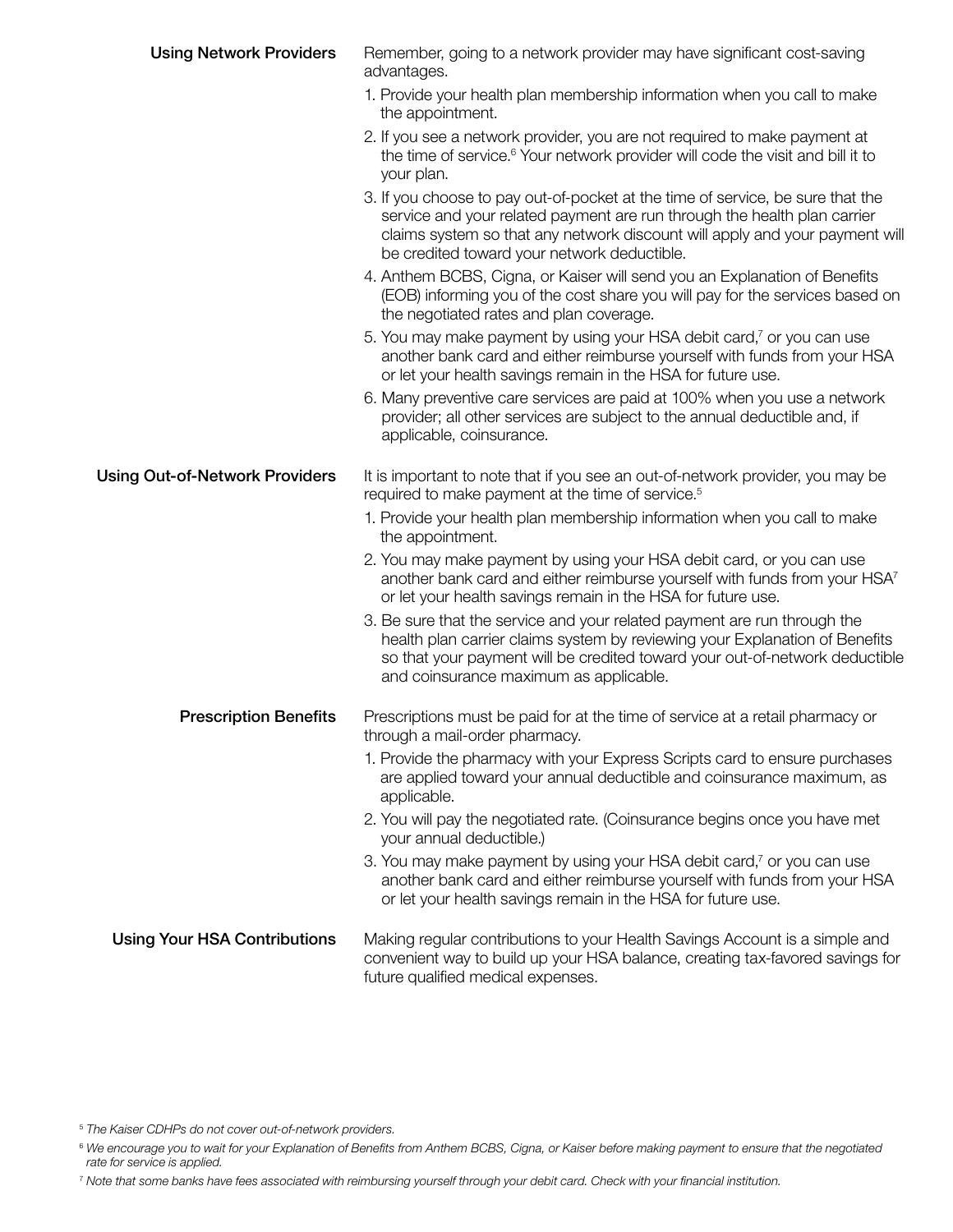| <b>Using Network Providers</b>        | Remember, going to a network provider may have significant cost-saving<br>advantages.                                                                                                                                                                                                    |
|---------------------------------------|------------------------------------------------------------------------------------------------------------------------------------------------------------------------------------------------------------------------------------------------------------------------------------------|
|                                       | 1. Provide your health plan membership information when you call to make<br>the appointment.                                                                                                                                                                                             |
|                                       | 2. If you see a network provider, you are not required to make payment at<br>the time of service. <sup>6</sup> Your network provider will code the visit and bill it to<br>your plan.                                                                                                    |
|                                       | 3. If you choose to pay out-of-pocket at the time of service, be sure that the<br>service and your related payment are run through the health plan carrier<br>claims system so that any network discount will apply and your payment will<br>be credited toward your network deductible. |
|                                       | 4. Anthem BCBS, Cigna, or Kaiser will send you an Explanation of Benefits<br>(EOB) informing you of the cost share you will pay for the services based on<br>the negotiated rates and plan coverage.                                                                                     |
|                                       | 5. You may make payment by using your HSA debit card, <sup>7</sup> or you can use<br>another bank card and either reimburse yourself with funds from your HSA<br>or let your health savings remain in the HSA for future use.                                                            |
|                                       | 6. Many preventive care services are paid at 100% when you use a network<br>provider; all other services are subject to the annual deductible and, if<br>applicable, coinsurance.                                                                                                        |
| <b>Using Out-of-Network Providers</b> | It is important to note that if you see an out-of-network provider, you may be<br>required to make payment at the time of service. <sup>5</sup>                                                                                                                                          |
|                                       | 1. Provide your health plan membership information when you call to make<br>the appointment.                                                                                                                                                                                             |
|                                       | 2. You may make payment by using your HSA debit card, or you can use<br>another bank card and either reimburse yourself with funds from your HSA <sup>7</sup><br>or let your health savings remain in the HSA for future use.                                                            |
|                                       | 3. Be sure that the service and your related payment are run through the<br>health plan carrier claims system by reviewing your Explanation of Benefits<br>so that your payment will be credited toward your out-of-network deductible<br>and coinsurance maximum as applicable.         |
| <b>Prescription Benefits</b>          | Prescriptions must be paid for at the time of service at a retail pharmacy or<br>through a mail-order pharmacy.                                                                                                                                                                          |
|                                       | 1. Provide the pharmacy with your Express Scripts card to ensure purchases<br>are applied toward your annual deductible and coinsurance maximum, as<br>applicable.                                                                                                                       |
|                                       | 2. You will pay the negotiated rate. (Coinsurance begins once you have met<br>your annual deductible.)                                                                                                                                                                                   |
|                                       | 3. You may make payment by using your HSA debit card, <sup>7</sup> or you can use<br>another bank card and either reimburse yourself with funds from your HSA<br>or let your health savings remain in the HSA for future use.                                                            |
| <b>Using Your HSA Contributions</b>   | Making regular contributions to your Health Savings Account is a simple and<br>convenient way to build up your HSA balance, creating tax-favored savings for<br>future qualified medical expenses.                                                                                       |

5  *The Kaiser CDHPs do not cover out-of-network providers.*

<sup>6</sup> We encourage you to wait for your Explanation of Benefits from Anthem BCBS, Cigna, or Kaiser before making payment to ensure that the negotiated *rate for service is applied.*

<sup>7</sup> *Note that some banks have fees associated with reimbursing yourself through your debit card. Check with your financial institution.*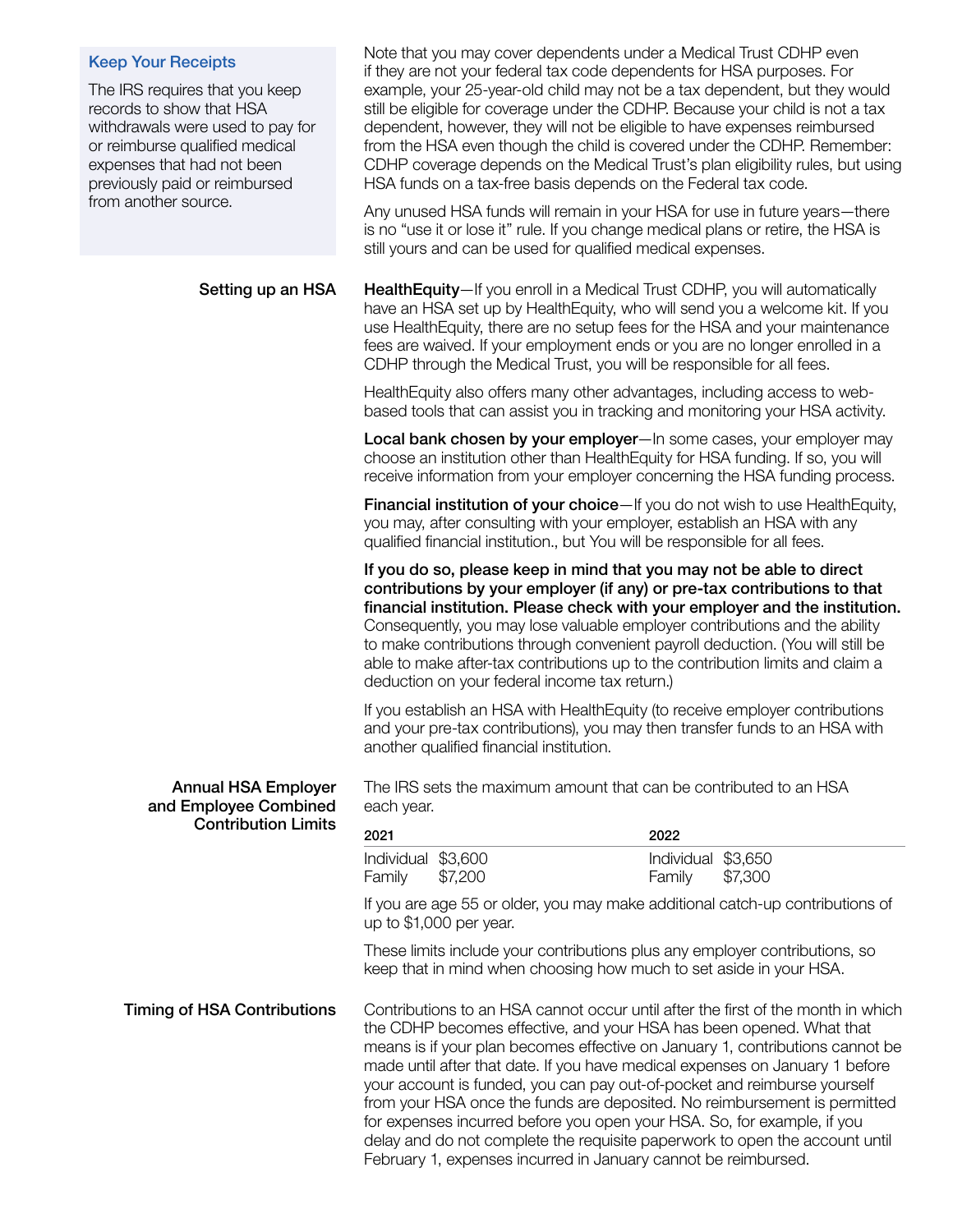#### Keep Your Receipts

The IRS requires that you keep records to show that HSA withdrawals were used to pay for or reimburse qualified medical expenses that had not been previously paid or reimbursed from another source.

Note that you may cover dependents under a Medical Trust CDHP even if they are not your federal tax code dependents for HSA purposes. For example, your 25-year-old child may not be a tax dependent, but they would still be eligible for coverage under the CDHP. Because your child is not a tax dependent, however, they will not be eligible to have expenses reimbursed from the HSA even though the child is covered under the CDHP. Remember: CDHP coverage depends on the Medical Trust's plan eligibility rules, but using HSA funds on a tax-free basis depends on the Federal tax code.

Any unused HSA funds will remain in your HSA for use in future years—there is no "use it or lose it" rule. If you change medical plans or retire, the HSA is still yours and can be used for qualified medical expenses.

Setting up an HSA HealthEquity—If you enroll in a Medical Trust CDHP, you will automatically have an HSA set up by HealthEquity, who will send you a welcome kit. If you use HealthEquity, there are no setup fees for the HSA and your maintenance fees are waived. If your employment ends or you are no longer enrolled in a CDHP through the Medical Trust, you will be responsible for all fees.

> HealthEquity also offers many other advantages, including access to webbased tools that can assist you in tracking and monitoring your HSA activity.

Local bank chosen by your employer—In some cases, your employer may choose an institution other than HealthEquity for HSA funding. If so, you will receive information from your employer concerning the HSA funding process.

Financial institution of your choice—If you do not wish to use HealthEquity, you may, after consulting with your employer, establish an HSA with any qualified financial institution., but You will be responsible for all fees.

If you do so, please keep in mind that you may not be able to direct contributions by your employer (if any) or pre-tax contributions to that financial institution. Please check with your employer and the institution. Consequently, you may lose valuable employer contributions and the ability to make contributions through convenient payroll deduction. (You will still be able to make after-tax contributions up to the contribution limits and claim a deduction on your federal income tax return.)

If you establish an HSA with HealthEquity (to receive employer contributions and your pre-tax contributions), you may then transfer funds to an HSA with another qualified financial institution.

The IRS sets the maximum amount that can be contributed to an HSA each year.

| 2021               | 2022                  |  |
|--------------------|-----------------------|--|
| Individual \$3,600 | Individual \$3,650    |  |
| Family \$7,200     | <b>Family</b> \$7,300 |  |

If you are age 55 or older, you may make additional catch-up contributions of up to \$1,000 per year.

These limits include your contributions plus any employer contributions, so keep that in mind when choosing how much to set aside in your HSA.

Annual HSA Employer and Employee Combined Contribution Limits

Timing of HSA Contributions Contributions to an HSA cannot occur until after the first of the month in which the CDHP becomes effective, and your HSA has been opened. What that means is if your plan becomes effective on January 1, contributions cannot be made until after that date. If you have medical expenses on January 1 before your account is funded, you can pay out-of-pocket and reimburse yourself from your HSA once the funds are deposited. No reimbursement is permitted for expenses incurred before you open your HSA. So, for example, if you delay and do not complete the requisite paperwork to open the account until February 1, expenses incurred in January cannot be reimbursed.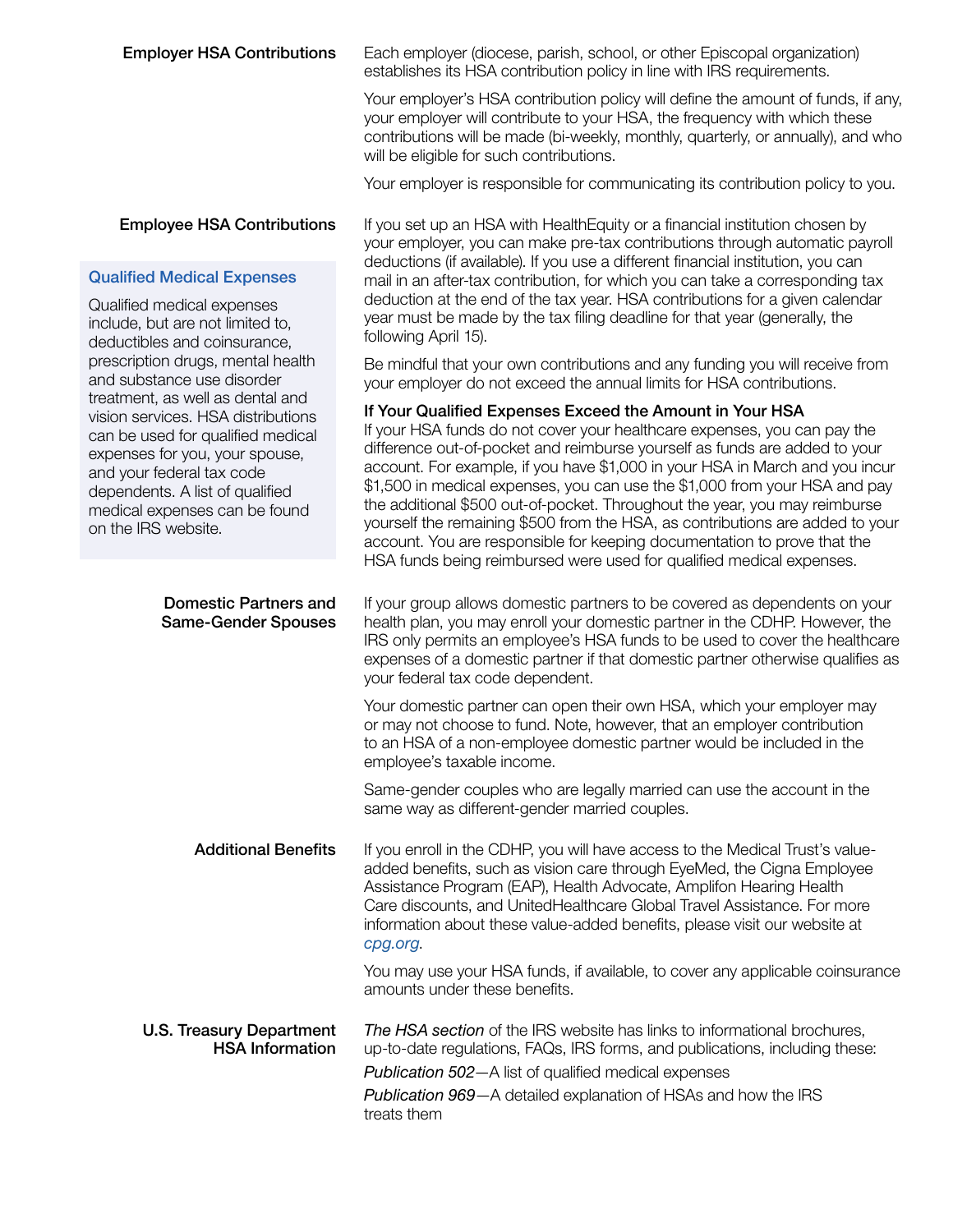**Employer HSA Contributions** Each employer (diocese, parish, school, or other Episcopal organization) establishes its HSA contribution policy in line with IRS requirements.

> Your employer's HSA contribution policy will define the amount of funds, if any, your employer will contribute to your HSA, the frequency with which these contributions will be made (bi-weekly, monthly, quarterly, or annually), and who will be eligible for such contributions.

Your employer is responsible for communicating its contribution policy to you.

your employer, you can make pre-tax contributions through automatic payroll deductions (if available). If you use a different financial institution, you can mail in an after-tax contribution, for which you can take a corresponding tax deduction at the end of the tax year. HSA contributions for a given calendar year must be made by the tax filing deadline for that year (generally, the

Be mindful that your own contributions and any funding you will receive from

your employer do not exceed the annual limits for HSA contributions. If Your Qualified Expenses Exceed the Amount in Your HSA

### **Employee HSA Contributions** If you set up an HSA with HealthEquity or a financial institution chosen by

#### Qualified Medical Expenses

Qualified medical expenses include, but are not limited to, deductibles and coinsurance, prescription drugs, mental health and substance use disorder treatment, as well as dental and vision services. HSA distributions can k expe and ' depe medi on th

| be used for qualified medical<br>enses for you, your spouse,<br>your federal tax code<br>endents. A list of qualified<br>lical expenses can be found<br>he IRS website. | If your HSA funds do not cover your healthcare expenses, you can pay the<br>difference out-of-pocket and reimburse yourself as funds are added to your<br>account. For example, if you have \$1,000 in your HSA in March and you incur<br>\$1,500 in medical expenses, you can use the \$1,000 from your HSA and pay<br>the additional \$500 out-of-pocket. Throughout the year, you may reimburse<br>yourself the remaining \$500 from the HSA, as contributions are added to your<br>account. You are responsible for keeping documentation to prove that the |
|-------------------------------------------------------------------------------------------------------------------------------------------------------------------------|-----------------------------------------------------------------------------------------------------------------------------------------------------------------------------------------------------------------------------------------------------------------------------------------------------------------------------------------------------------------------------------------------------------------------------------------------------------------------------------------------------------------------------------------------------------------|
|                                                                                                                                                                         | HSA funds being reimbursed were used for qualified medical expenses.                                                                                                                                                                                                                                                                                                                                                                                                                                                                                            |
| <b>Domestic Partners and</b><br><b>Same-Gender Spouses</b>                                                                                                              | If your group allows domestic partners to be covered as dependents on your<br>health plan, you may enroll your domestic partner in the CDHP. However, the<br>IRS only permits an employee's HSA funds to be used to cover the healthcare<br>expenses of a domestic partner if that domestic partner otherwise qualifies as<br>your federal tax code dependent.                                                                                                                                                                                                  |
|                                                                                                                                                                         | Your domestic partner can open their own HSA, which your employer may<br>or may not choose to fund. Note, however, that an employer contribution<br>to an HSA of a non-employee domestic partner would be included in the<br>employee's taxable income.                                                                                                                                                                                                                                                                                                         |
|                                                                                                                                                                         | Same-gender couples who are legally married can use the account in the<br>same way as different-gender married couples.                                                                                                                                                                                                                                                                                                                                                                                                                                         |
| <b>Additional Benefits</b>                                                                                                                                              | If you enroll in the CDHP, you will have access to the Medical Trust's value-<br>added benefits, such as vision care through EyeMed, the Cigna Employee<br>Assistance Program (EAP), Health Advocate, Amplifon Hearing Health<br>Care discounts, and UnitedHealthcare Global Travel Assistance. For more<br>information about these value-added benefits, please visit our website at<br>cpg.org                                                                                                                                                                |
|                                                                                                                                                                         | You may use your HSA funds, if available, to cover any applicable coinsurance<br>amounts under these benefits.                                                                                                                                                                                                                                                                                                                                                                                                                                                  |
| <b>U.S. Treasury Department</b><br><b>HSA Information</b>                                                                                                               | The HSA section of the IRS website has links to informational brochures,<br>up-to-date regulations, FAQs, IRS forms, and publications, including these:                                                                                                                                                                                                                                                                                                                                                                                                         |
|                                                                                                                                                                         | Publication 502-A list of qualified medical expenses                                                                                                                                                                                                                                                                                                                                                                                                                                                                                                            |
|                                                                                                                                                                         | Publication 969-A detailed explanation of HSAs and how the IRS<br>treats them                                                                                                                                                                                                                                                                                                                                                                                                                                                                                   |

following April 15).